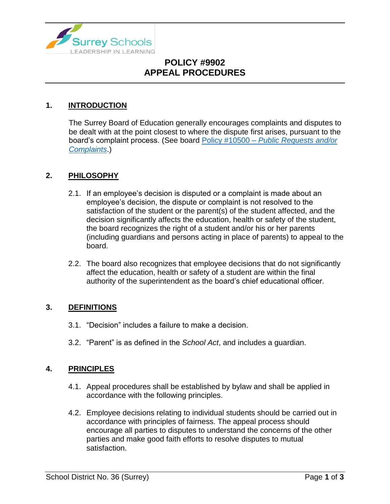

## **POLICY #9902 APPEAL PROCEDURES**

### **1. INTRODUCTION**

The Surrey Board of Education generally encourages complaints and disputes to be dealt with at the point closest to where the dispute first arises, pursuant to the board's complaint process. (See board Policy #10500 – *[Public Requests and/or](https://www.surreyschools.ca/departments/SECT/PoliciesRegulations/section_10000/Documents/10500%20Policy.pdf)  [Complaints](https://www.surreyschools.ca/departments/SECT/PoliciesRegulations/section_10000/Documents/10500%20Policy.pdf)*.)

#### **2. PHILOSOPHY**

- 2.1. If an employee's decision is disputed or a complaint is made about an employee's decision, the dispute or complaint is not resolved to the satisfaction of the student or the parent(s) of the student affected, and the decision significantly affects the education, health or safety of the student, the board recognizes the right of a student and/or his or her parents (including guardians and persons acting in place of parents) to appeal to the board.
- 2.2. The board also recognizes that employee decisions that do not significantly affect the education, health or safety of a student are within the final authority of the superintendent as the board's chief educational officer.

#### **3. DEFINITIONS**

- 3.1. "Decision" includes a failure to make a decision.
- 3.2. "Parent" is as defined in the *School Act*, and includes a guardian.

#### **4. PRINCIPLES**

- 4.1. Appeal procedures shall be established by bylaw and shall be applied in accordance with the following principles.
- 4.2. Employee decisions relating to individual students should be carried out in accordance with principles of fairness. The appeal process should encourage all parties to disputes to understand the concerns of the other parties and make good faith efforts to resolve disputes to mutual satisfaction.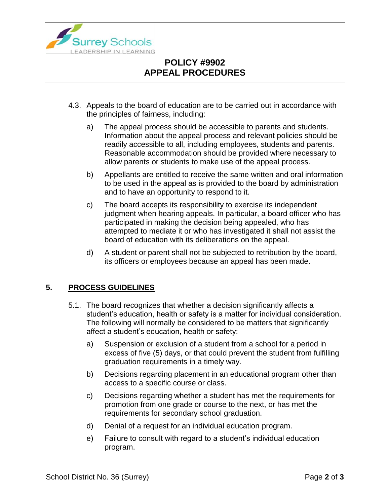

## **POLICY #9902 APPEAL PROCEDURES**

- 4.3. Appeals to the board of education are to be carried out in accordance with the principles of fairness, including:
	- a) The appeal process should be accessible to parents and students. Information about the appeal process and relevant policies should be readily accessible to all, including employees, students and parents. Reasonable accommodation should be provided where necessary to allow parents or students to make use of the appeal process.
	- b) Appellants are entitled to receive the same written and oral information to be used in the appeal as is provided to the board by administration and to have an opportunity to respond to it.
	- c) The board accepts its responsibility to exercise its independent judgment when hearing appeals. In particular, a board officer who has participated in making the decision being appealed, who has attempted to mediate it or who has investigated it shall not assist the board of education with its deliberations on the appeal.
	- d) A student or parent shall not be subjected to retribution by the board, its officers or employees because an appeal has been made.

### **5. PROCESS GUIDELINES**

- 5.1. The board recognizes that whether a decision significantly affects a student's education, health or safety is a matter for individual consideration. The following will normally be considered to be matters that significantly affect a student's education, health or safety:
	- a) Suspension or exclusion of a student from a school for a period in excess of five (5) days, or that could prevent the student from fulfilling graduation requirements in a timely way.
	- b) Decisions regarding placement in an educational program other than access to a specific course or class.
	- c) Decisions regarding whether a student has met the requirements for promotion from one grade or course to the next, or has met the requirements for secondary school graduation.
	- d) Denial of a request for an individual education program.
	- e) Failure to consult with regard to a student's individual education program.